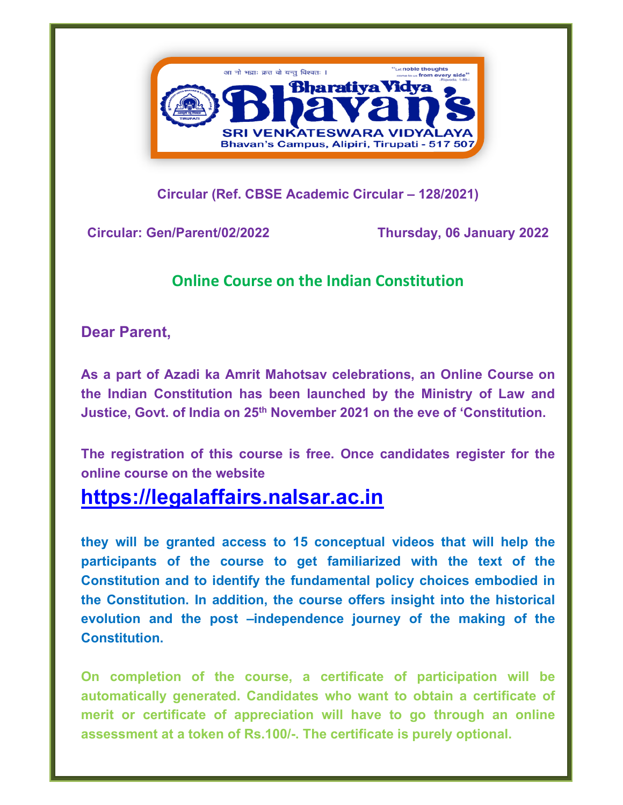

**Circular (Ref. CBSE Academic Circular – 128/2021)** 

**Circular: Gen/Parent/02/2022 Thursday, 06 January 2022** 

## **Online Course on the Indian Constitution**

**Dear Parent,** 

**As a part of Azadi ka Amrit Mahotsav celebrations, an Online Course on the Indian Constitution has been launched by the Ministry of Law and Justice, Govt. of India on 25th November 2021 on the eve of 'Constitution.** 

**The registration of this course is free. Once candidates register for the online course on the website** 

## **https://legalaffairs.nalsar.ac.in**

**they will be granted access to 15 conceptual videos that will help the participants of the course to get familiarized with the text of the Constitution and to identify the fundamental policy choices embodied in the Constitution. In addition, the course offers insight into the historical evolution and the post –independence journey of the making of the Constitution.** 

**On completion of the course, a certificate of participation will be automatically generated. Candidates who want to obtain a certificate of merit or certificate of appreciation will have to go through an online assessment at a token of Rs.100/-. The certificate is purely optional.**